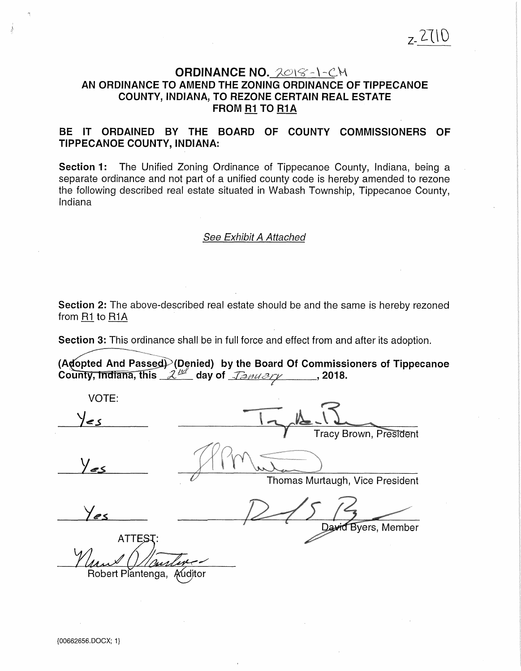# ORDINANCE NO.  $ZO(8-1-C)\,$ AN ORDINANCE TO AMEND THE ZONING ORDINANCE OF TIPPECANOE COUNTY, INDIANA, TO REZONE CERTAIN REAL ESTATE FROM R1 TO R1A

## BE IT ORDAINED BY THE BOARD OF COUNTY COMMISSIONERS OF TIPPECANOE COUNTY, INDIANA:

Section 1: The Unified Zoning Ordinance of Tippecanoe County, Indiana, being a separate ordinance and not part of a unified county code is hereby amended to rezone the following described real estate situated in Wabash Township, Tippecanoe County, Indiana

### See Exhibit A Attached

Section 2: The above-described real estate should be and the same is hereby rezoned from R1 to R1A

Section 3: This ordinance shall be in full force and effect from and after its adoption.

(Adopted And Passed) (Denied) by the Board Of Commissioners of Tippecanoe<br>County, Indiana, this 2<sup>th</sup> day of *Tanuary* 1018.

VOTE:  $\epsilon$  < **Tracy Brown, President** Thomas Murtaugh, Vice President Byers, Member ATTEST:

Robert Plantenga, Auditor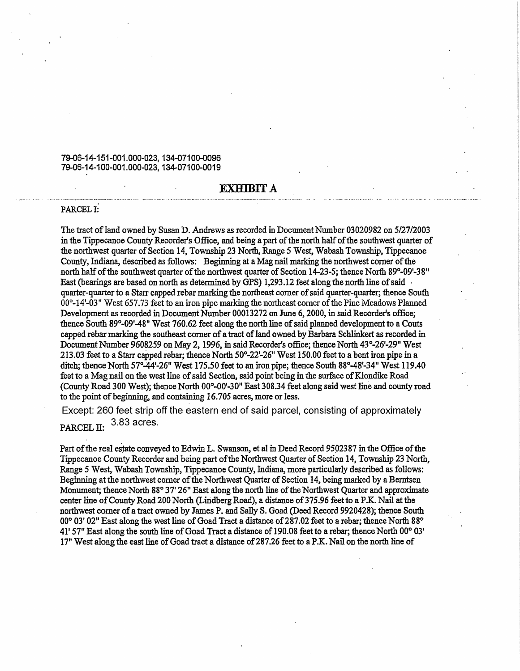### 79-06-14-151-001.000-023, 134-07100-0096 79-06-14-100-001.000-023, 134-07100-0019

#### **EXHIBIT A**

#### PARCEL I:

The tract ofland owned by Susan D. Andrews as recorded in Document Number 03020982 on *5/2712003*  in the Tippecanoe County Recorder's Office, and being a part of the north half of the southwest quarter of the northwest quarter of Section 14, Township 23 North, Range 5 West, Wabash Township, Tippecanoe County, Indiana, described as follows: Beginning at a Mag nail marking the northwest corner of the north half of the southwest quarter of the northwest quarter of Section 14-23-5; thence North 89°-09'-38" East (bearings are based on north as determined by GPS) 1,293 .12 feet along the north line of said · quarter-quarter to a Starr capped rebar marking the northeast comer of said quarter-quarter; thence South 00°-14'-03" West 657.73 feet to an iron pipe marking the northeast corner of the Pine Meadows Planned Development as recorded in Document Number 00013272 on June 6, 2000, in said Recorder's office; thence South 89°-09'-48" West 760.62 feet along the north line of said planned development to a Couts capped rebar marking the southeast comer of a tract of land owned by Barbara Schlinkert as recorded in Document Number 9608259 on May 2, 1996, in said Recorder's office; thence North 43°-26'-29" West 213.03 feet to a Starr capped rebar, thence North 50°-22'-26" West 150.00 feet to a bent iron pipe in a ditch; thence North 57°-44'-26" West 175.50 feet to an iron pipe; thence South 88°-48'-34" West 119.40 feet to a Mag nail on the west line of said Section, said point being in the surface of Klondike Road (County Road 300 West); thence North 00°-00'-30" East 308.34 feet along said west line and county road to the point of beginning, and containing 16.705 acres, more or less.

Except: 260 feet strip off the eastern end of said parcel, consisting of approximately PARCEL  $II: 3.83$  acres.

Part of the real estate conveyed to Edwin L. Swanson, et al in Deed Record 9502387 in the Office of the Tippecanoe County Recorder and being part of the Northwest Quarter of Section 14, Township 23 North, Range 5 West, Wabash Township, Tippecanoe County, Indiana, more particularly described as follows: Beginning at the northwest comer of the Northwest Quarter of Section 14, being marked by a Berntsen Monument; thence North 88° 37' 26" East along the north line of the Northwest Quarter and approximate center line of County Road 200 North (Lindberg Road), a distance of 375.96 feet to a P.K. Nail at the northwest comer of a tract owned by James P. and Sally S. Goad (Deed Record 9920428); thence South 00° 03' 02" East along the west line of Goad Tract a distance of287.02 feet to a rebar; thence North 88° 41' 57" East along the south line of Goad Tract a distance of 190.08 feet to a rebar; thence North 00° 03' 17" West along the east line of Goad tract a distance of287.26 feet to aP.K. Nail on the north line of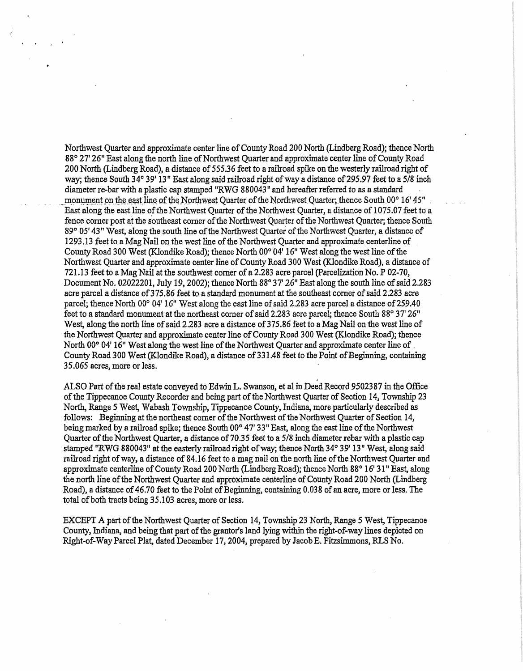Northwest Quarter and approximate center line of County Road 200 North (Lindberg Road); thence North 88° 27' 26" East along the north line of Northwest Quarter and approximate center line of County Road 200 North (Lindberg Road), a distance of 555.36 feet to a rafuoad spike on the westerly railroad right of way; thence South 34° 39' 13" East along said railroad right of way a distance of 295.97 feet to a 5/8 inch diameter re-bar with a plastic cap stamped "RWG 880043" and hereafter referred to as a standard<br>monument on the east line of the Northwest Quarter of the Northwest Quarter, thence South 00° 16' 45" East along the east line of the Northwest Quarter of the Northwest Quarter, a distance of 1075.07 feet to a fence corner post at the southeast corner of the Northwest Quarter of the Northwest Quarter; thence South 89° 05' 43" West, along the south line of the Northwest Quarter of the Northwest Quarter, a distance of 1293 .13 feet to a Mag Nail on the west line of the Northwest Quarter and approximate centerline of County Road 300 West (Klondike Road); thence North 00° 04' 16" West along the west line of the Northwest Quarter and approximate center line of County Road 300 West (Klondike Road), a distance of 721.13 feet to a Mag Nail at the southwest comer of a 2.283 acre parcel (Parcelization No. P 02-70, Document No. 02022201, July 19, 2002); thence North 88° 37' 26" East along the south line of said 2.283 acre parcel a distance of375.86 feet to a standard monument at the southeast comer of said 2.283 acre parcel; thence North 00° 04' 16" West along the east line of said 2.283 acre parcel a distance of 259.40 feet to a standard monument at the northeast comer of said 2.283 acre parcel; thence South 88° 37' 26" West, along the north line of said 2.283 acre a distance of 375.86 feet to a Mag Nail on the west line of the Northwest Quarter and approximate center line of County Road 300 West (Klondike Road); thence North 00° 04' 16" West along the west line of the Northwest Quarter and approximate center line of. County Road 300 West (Klondike Road), a distance of 331.48 feet to the Point of Beginning, containing 35.065 acres, more or less.

ALSO Part of the real estate conveyed to Edwin L. Swanson, et al in Deed Record 9502387 in the Office of the Tippecanoe County Recorder and being part of the Northwest Quarter of Section 14, Township 23 North, Range 5 West, Wabash Township, Tippecanoe County, Indiana, more particularly described as follows: Beginning at the northeast comer of the Northwest of the Northwest Quarter of Section 14, being marked by a railroad spike; thence South 00° 47' 33" East, along the east line of the Northwest Quarter of the Northwest Quarter, a distance of 70.35 feet to a 5/8 inch diameter rebar with a plastic cap stamped "RWG 880043" at the easterly railroad right of way; thence North 34° 39' 13" West, along said railroad right of way, a distance of 84.16 feet to a mag nail on the north line of the Northwest Quarter and approximate centerline of County Road 200 North (Lindberg Road); thence North 88° 16' 31" East, along the north line of the Northwest Quarter and approximate centerline of County Road 200 North (Lindberg Road), a distance of 46.70 feet to the Point of Beginning, containing 0.038 of an acre, more or less. The total of both tracts being 35.103 acres, more or less.

EXCEPT *A* part of the Northwest Quarter of Section 14, Tovmshlp 23 North, Range 5 West, Tippecanoe County, Indiana, and being that part of the grantor's land lying within the right-of-way lines depicted on Right-of-Way Parcel Plat, dated December 17, 2004, prepared by Jacob E. Fitzsimmons, RLS No.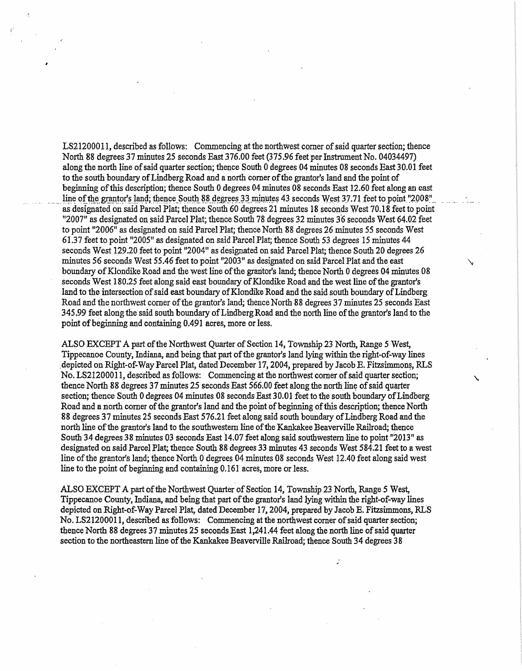LS2l200011, described as follows: Commencing at the northwest corner of said quarter section; thence North 88 degrees 37 minutes 25 seconds *East* 376.00 feet (375.96 feet per Instrument No. 04034497) along the north line of said quarter section; thence South 0 degrees 04 minutes 08 seconds East 30.01 feet to the south boundary of Lindberg Road and a north corner of the grantor's land and the point of beginning of this description; thence South 0 degrees 04 minutes 08 seconds East 12.60 feet along an east line of the grantor's land; thence South 88 degrees 33 minutes 43 seconds West 37.71 feet to point "2008" as designated on said Parcel Plat; thence South 60 degrees 21 minutes 18 seconds West 70.18 feet to point "2007" as designated on said Parcel Plat; thence South 78 degrees 32 minutes 3.6 seconds West 64.02 feet to point "2006" as designated on said Parcel Plat; thence North 88 degrees 26 minutes 55 seconds West 61.37 feet to point "2005" as designated on said Parcel Plat; thence South 53 degrees 15 minutes 44 seconds West 129 .20 feet to point "2004" as designated on said Parcel Plat; thence South 20 degrees 26 minutes 56 seconds West 55.46 feet to point "2003" as designated on said Parcel Plat and the east boundary of Klondike Road and the west line of the graritor's land; thence North 0 degrees 04 minutes 08 seconds West 180.25 feet along said east boundary of Klondike Road and the west line of the grantor's land to the intersection of said east boundary of Klondike Road and the said south boundary of Lindberg Road and the northwest corner of the grantor's land; thence North 88 degrees 37 minutes 25 seconds East 345.99 feet along the said south boundary of Lindberg Road and the north line of the grantor's land to the point of beginning and containing 0.491 acres, more or less.

ALSO EXCEPT *A* part of the Northwest Quarter of Section 14, Township 23 North, Range *5* West, Tippecanoe County, Indiana, and being that part of the grantor's land lying within the right-of-way lines depicted on Right-of-Way Parcel Plat, dated December 17, 2004, prepared by Jacob E. Fitzsimmons, RLS No. LS21200011, described as follows: Commencing at the northwest comer of said quarter section; \. thence North 88 degrees 37 minutes 25 seconds East 566.00 feet along the north line of said quarter section; thence South 0 degrees 04 minutes 08 seconds East 30.01 feet to the south boundary of Lindberg Road and a north comer of the grantor's land and the point of beginning of this description; thence North 88 degrees 37 minutes 25 seconds East 576.21 feet along said south boundary ofLindberg Road and the north line of the grantor's land to the southwestern line of the Kankakee Beaverville Railroad; thence South 34 degrees 38 minutes 03 seconds East 14.07 feet along said southwestern line to point "2013" as designated on said Parcel Plat; thence South 88 degrees 33 minutes 43 seconds West 584.21 feet to a west line of the grantor's land; thence North 0 degrees 04 minutes 08 seconds West 12.40 feet along said west line to the point of beginning and containing 0.161 acres, more or less.

ALSO EXCEPT *A* part of the Northwest Quarter of Section 14, Township 23 North, Range 5 West, Tippecanoe County, Indiana, and being that part of the grantor's land lying within the right-of-way lines depicted on Right-of-Way Parcel Plat, dated December 17, 2004, prepared by Jacob E. Fitzsimmons, RLS No. LS21200011, descn'bed as follows: Commencing at the northwest comer of said quarter section; thence North 88 degrees 37 minutes 25 seconds East 1,241.44 feet along the north line of said quarter section to the northeastern line of the Kankakee Beaverville Railroad; thence South 34 degrees 38